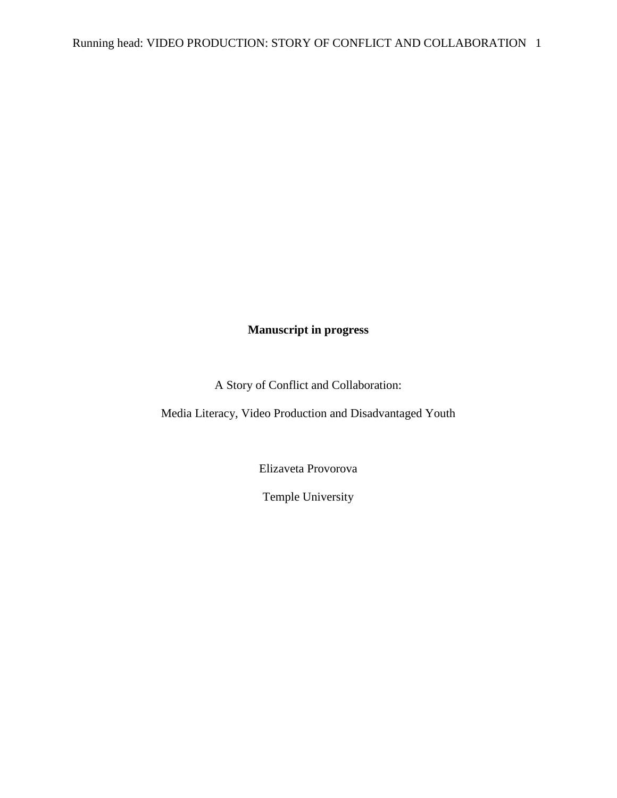# **Manuscript in progress**

A Story of Conflict and Collaboration:

Media Literacy, Video Production and Disadvantaged Youth

Elizaveta Provorova

Temple University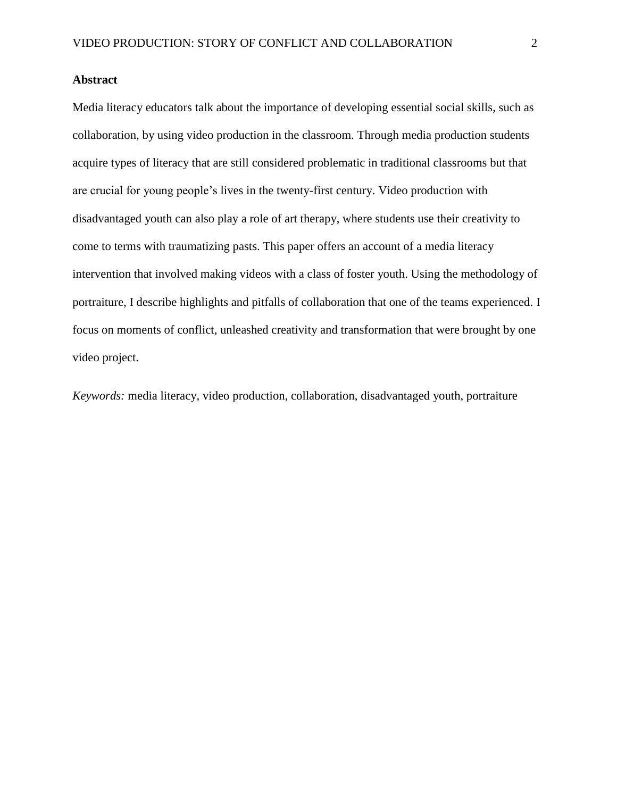# **Abstract**

Media literacy educators talk about the importance of developing essential social skills, such as collaboration, by using video production in the classroom. Through media production students acquire types of literacy that are still considered problematic in traditional classrooms but that are crucial for young people's lives in the twenty-first century. Video production with disadvantaged youth can also play a role of art therapy, where students use their creativity to come to terms with traumatizing pasts. This paper offers an account of a media literacy intervention that involved making videos with a class of foster youth. Using the methodology of portraiture, I describe highlights and pitfalls of collaboration that one of the teams experienced. I focus on moments of conflict, unleashed creativity and transformation that were brought by one video project.

*Keywords:* media literacy, video production, collaboration, disadvantaged youth, portraiture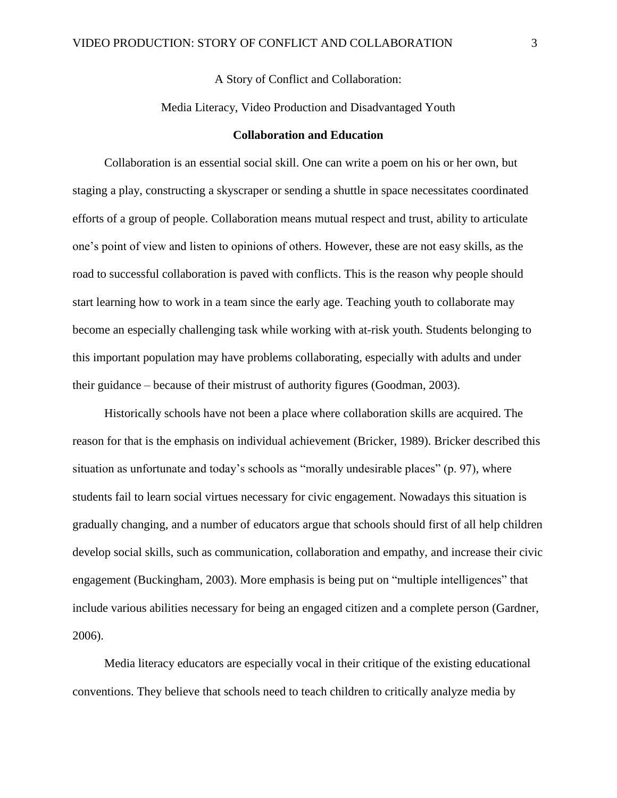A Story of Conflict and Collaboration:

#### Media Literacy, Video Production and Disadvantaged Youth

# **Collaboration and Education**

Collaboration is an essential social skill. One can write a poem on his or her own, but staging a play, constructing a skyscraper or sending a shuttle in space necessitates coordinated efforts of a group of people. Collaboration means mutual respect and trust, ability to articulate one's point of view and listen to opinions of others. However, these are not easy skills, as the road to successful collaboration is paved with conflicts. This is the reason why people should start learning how to work in a team since the early age. Teaching youth to collaborate may become an especially challenging task while working with at-risk youth. Students belonging to this important population may have problems collaborating, especially with adults and under their guidance – because of their mistrust of authority figures (Goodman, 2003).

Historically schools have not been a place where collaboration skills are acquired. The reason for that is the emphasis on individual achievement (Bricker, 1989). Bricker described this situation as unfortunate and today's schools as "morally undesirable places" (p. 97), where students fail to learn social virtues necessary for civic engagement. Nowadays this situation is gradually changing, and a number of educators argue that schools should first of all help children develop social skills, such as communication, collaboration and empathy, and increase their civic engagement (Buckingham, 2003). More emphasis is being put on "multiple intelligences" that include various abilities necessary for being an engaged citizen and a complete person (Gardner, 2006).

Media literacy educators are especially vocal in their critique of the existing educational conventions. They believe that schools need to teach children to critically analyze media by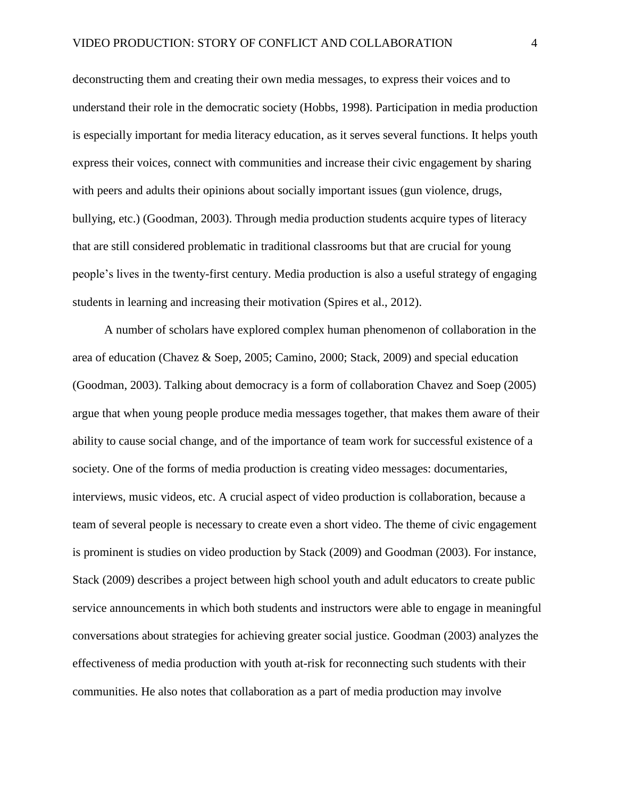deconstructing them and creating their own media messages, to express their voices and to understand their role in the democratic society (Hobbs, 1998). Participation in media production is especially important for media literacy education, as it serves several functions. It helps youth express their voices, connect with communities and increase their civic engagement by sharing with peers and adults their opinions about socially important issues (gun violence, drugs, bullying, etc.) (Goodman, 2003). Through media production students acquire types of literacy that are still considered problematic in traditional classrooms but that are crucial for young people's lives in the twenty-first century. Media production is also a useful strategy of engaging students in learning and increasing their motivation (Spires et al., 2012).

A number of scholars have explored complex human phenomenon of collaboration in the area of education (Chavez & Soep, 2005; Camino, 2000; Stack, 2009) and special education (Goodman, 2003). Talking about democracy is a form of collaboration Chavez and Soep (2005) argue that when young people produce media messages together, that makes them aware of their ability to cause social change, and of the importance of team work for successful existence of a society. One of the forms of media production is creating video messages: documentaries, interviews, music videos, etc. A crucial aspect of video production is collaboration, because a team of several people is necessary to create even a short video. The theme of civic engagement is prominent is studies on video production by Stack (2009) and Goodman (2003). For instance, Stack (2009) describes a project between high school youth and adult educators to create public service announcements in which both students and instructors were able to engage in meaningful conversations about strategies for achieving greater social justice. Goodman (2003) analyzes the effectiveness of media production with youth at-risk for reconnecting such students with their communities. He also notes that collaboration as a part of media production may involve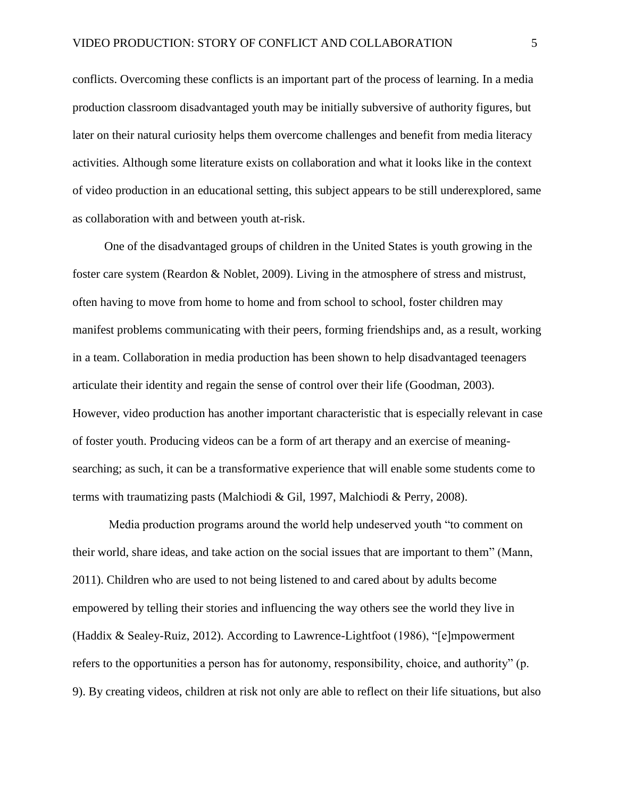conflicts. Overcoming these conflicts is an important part of the process of learning. In a media production classroom disadvantaged youth may be initially subversive of authority figures, but later on their natural curiosity helps them overcome challenges and benefit from media literacy activities. Although some literature exists on collaboration and what it looks like in the context of video production in an educational setting, this subject appears to be still underexplored, same as collaboration with and between youth at-risk.

One of the disadvantaged groups of children in the United States is youth growing in the foster care system (Reardon & Noblet, 2009). Living in the atmosphere of stress and mistrust, often having to move from home to home and from school to school, foster children may manifest problems communicating with their peers, forming friendships and, as a result, working in a team. Collaboration in media production has been shown to help disadvantaged teenagers articulate their identity and regain the sense of control over their life (Goodman, 2003). However, video production has another important characteristic that is especially relevant in case of foster youth. Producing videos can be a form of art therapy and an exercise of meaningsearching; as such, it can be a transformative experience that will enable some students come to terms with traumatizing pasts (Malchiodi & Gil, 1997, Malchiodi & Perry, 2008).

Media production programs around the world help undeserved youth "to comment on their world, share ideas, and take action on the social issues that are important to them" (Mann, 2011). Children who are used to not being listened to and cared about by adults become empowered by telling their stories and influencing the way others see the world they live in (Haddix & Sealey-Ruiz, 2012). According to Lawrence-Lightfoot (1986), "[e]mpowerment refers to the opportunities a person has for autonomy, responsibility, choice, and authority" (p. 9). By creating videos, children at risk not only are able to reflect on their life situations, but also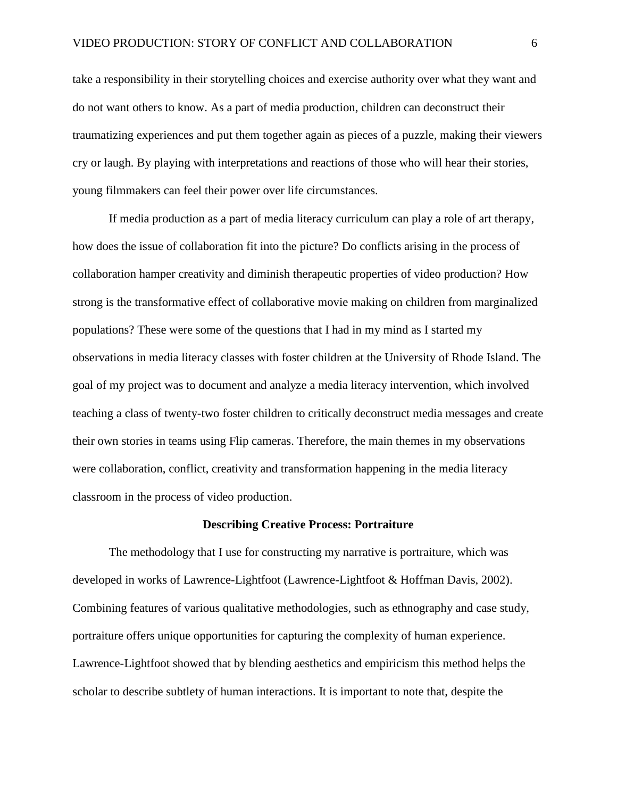take a responsibility in their storytelling choices and exercise authority over what they want and do not want others to know. As a part of media production, children can deconstruct their traumatizing experiences and put them together again as pieces of a puzzle, making their viewers cry or laugh. By playing with interpretations and reactions of those who will hear their stories, young filmmakers can feel their power over life circumstances.

If media production as a part of media literacy curriculum can play a role of art therapy, how does the issue of collaboration fit into the picture? Do conflicts arising in the process of collaboration hamper creativity and diminish therapeutic properties of video production? How strong is the transformative effect of collaborative movie making on children from marginalized populations? These were some of the questions that I had in my mind as I started my observations in media literacy classes with foster children at the University of Rhode Island. The goal of my project was to document and analyze a media literacy intervention, which involved teaching a class of twenty-two foster children to critically deconstruct media messages and create their own stories in teams using Flip cameras. Therefore, the main themes in my observations were collaboration, conflict, creativity and transformation happening in the media literacy classroom in the process of video production.

#### **Describing Creative Process: Portraiture**

The methodology that I use for constructing my narrative is portraiture, which was developed in works of Lawrence-Lightfoot (Lawrence-Lightfoot & Hoffman Davis, 2002). Combining features of various qualitative methodologies, such as ethnography and case study, portraiture offers unique opportunities for capturing the complexity of human experience. Lawrence-Lightfoot showed that by blending aesthetics and empiricism this method helps the scholar to describe subtlety of human interactions. It is important to note that, despite the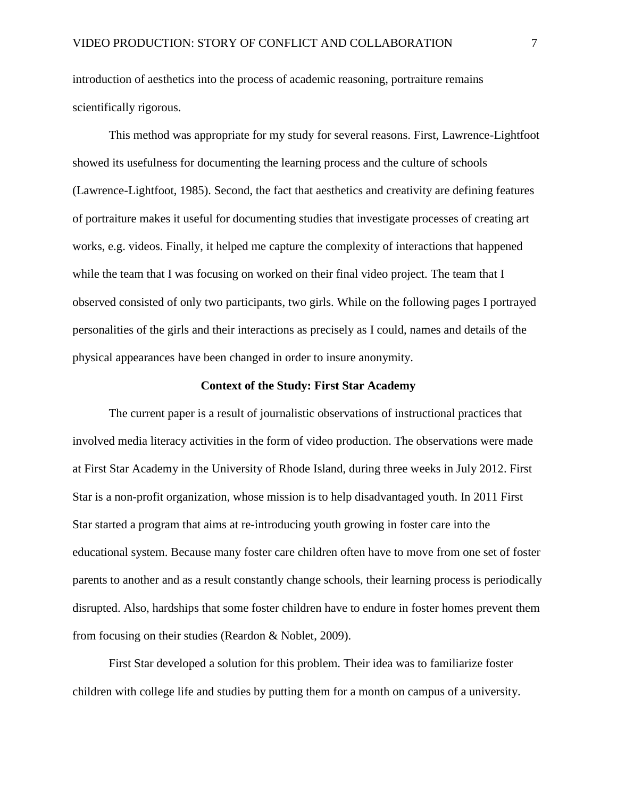introduction of aesthetics into the process of academic reasoning, portraiture remains scientifically rigorous.

This method was appropriate for my study for several reasons. First, Lawrence-Lightfoot showed its usefulness for documenting the learning process and the culture of schools (Lawrence-Lightfoot, 1985). Second, the fact that aesthetics and creativity are defining features of portraiture makes it useful for documenting studies that investigate processes of creating art works, e.g. videos. Finally, it helped me capture the complexity of interactions that happened while the team that I was focusing on worked on their final video project. The team that I observed consisted of only two participants, two girls. While on the following pages I portrayed personalities of the girls and their interactions as precisely as I could, names and details of the physical appearances have been changed in order to insure anonymity.

## **Context of the Study: First Star Academy**

The current paper is a result of journalistic observations of instructional practices that involved media literacy activities in the form of video production. The observations were made at First Star Academy in the University of Rhode Island, during three weeks in July 2012. First Star is a non-profit organization, whose mission is to help disadvantaged youth. In 2011 First Star started a program that aims at re-introducing youth growing in foster care into the educational system. Because many foster care children often have to move from one set of foster parents to another and as a result constantly change schools, their learning process is periodically disrupted. Also, hardships that some foster children have to endure in foster homes prevent them from focusing on their studies (Reardon & Noblet, 2009).

First Star developed a solution for this problem. Their idea was to familiarize foster children with college life and studies by putting them for a month on campus of a university.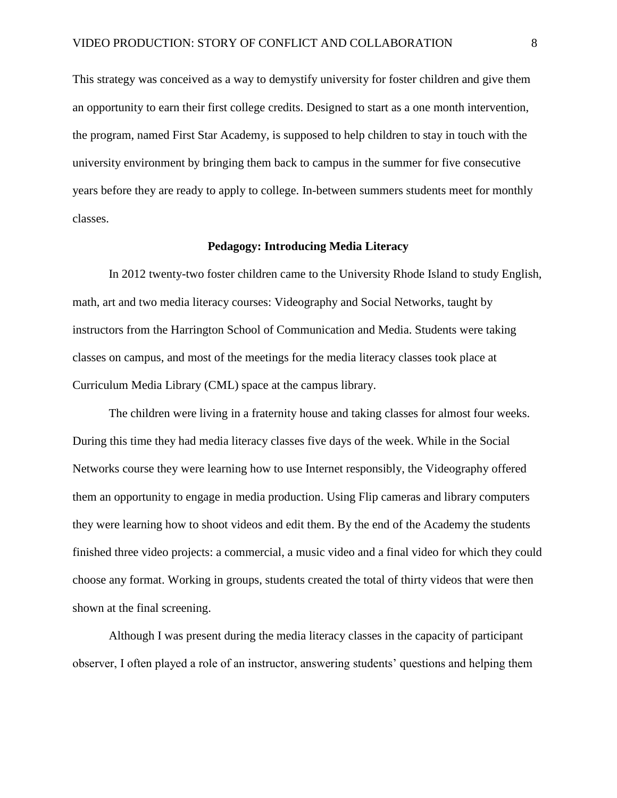This strategy was conceived as a way to demystify university for foster children and give them an opportunity to earn their first college credits. Designed to start as a one month intervention, the program, named First Star Academy, is supposed to help children to stay in touch with the university environment by bringing them back to campus in the summer for five consecutive years before they are ready to apply to college. In-between summers students meet for monthly classes.

#### **Pedagogy: Introducing Media Literacy**

In 2012 twenty-two foster children came to the University Rhode Island to study English, math, art and two media literacy courses: Videography and Social Networks, taught by instructors from the Harrington School of Communication and Media. Students were taking classes on campus, and most of the meetings for the media literacy classes took place at Curriculum Media Library (CML) space at the campus library.

The children were living in a fraternity house and taking classes for almost four weeks. During this time they had media literacy classes five days of the week. While in the Social Networks course they were learning how to use Internet responsibly, the Videography offered them an opportunity to engage in media production. Using Flip cameras and library computers they were learning how to shoot videos and edit them. By the end of the Academy the students finished three video projects: a commercial, a music video and a final video for which they could choose any format. Working in groups, students created the total of thirty videos that were then shown at the final screening.

Although I was present during the media literacy classes in the capacity of participant observer, I often played a role of an instructor, answering students' questions and helping them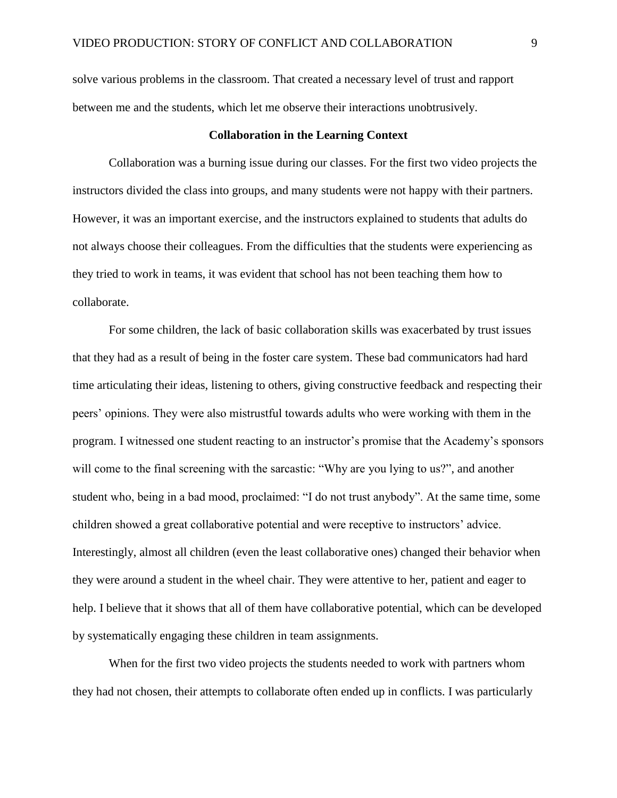solve various problems in the classroom. That created a necessary level of trust and rapport between me and the students, which let me observe their interactions unobtrusively.

## **Collaboration in the Learning Context**

Collaboration was a burning issue during our classes. For the first two video projects the instructors divided the class into groups, and many students were not happy with their partners. However, it was an important exercise, and the instructors explained to students that adults do not always choose their colleagues. From the difficulties that the students were experiencing as they tried to work in teams, it was evident that school has not been teaching them how to collaborate.

For some children, the lack of basic collaboration skills was exacerbated by trust issues that they had as a result of being in the foster care system. These bad communicators had hard time articulating their ideas, listening to others, giving constructive feedback and respecting their peers' opinions. They were also mistrustful towards adults who were working with them in the program. I witnessed one student reacting to an instructor's promise that the Academy's sponsors will come to the final screening with the sarcastic: "Why are you lying to us?", and another student who, being in a bad mood, proclaimed: "I do not trust anybody". At the same time, some children showed a great collaborative potential and were receptive to instructors' advice. Interestingly, almost all children (even the least collaborative ones) changed their behavior when they were around a student in the wheel chair. They were attentive to her, patient and eager to help. I believe that it shows that all of them have collaborative potential, which can be developed by systematically engaging these children in team assignments.

When for the first two video projects the students needed to work with partners whom they had not chosen, their attempts to collaborate often ended up in conflicts. I was particularly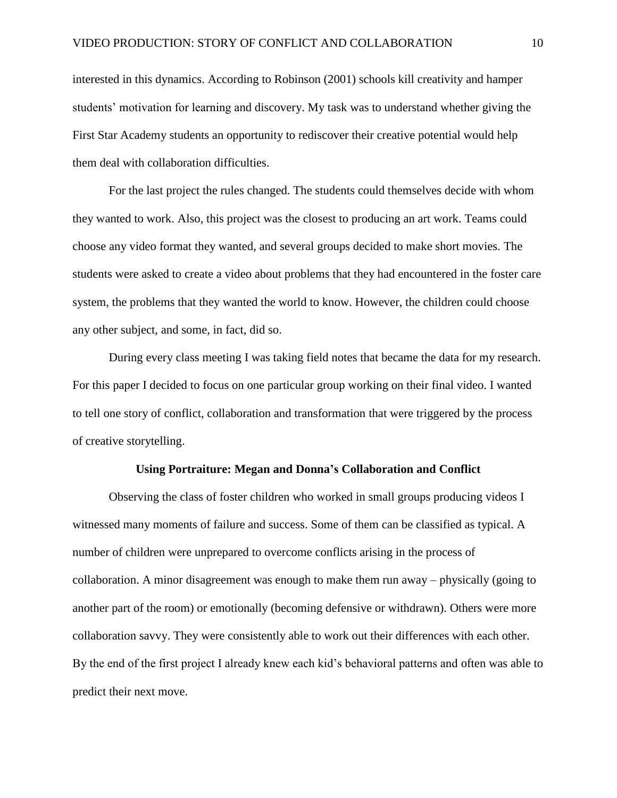interested in this dynamics. According to Robinson (2001) schools kill creativity and hamper students' motivation for learning and discovery. My task was to understand whether giving the First Star Academy students an opportunity to rediscover their creative potential would help them deal with collaboration difficulties.

For the last project the rules changed. The students could themselves decide with whom they wanted to work. Also, this project was the closest to producing an art work. Teams could choose any video format they wanted, and several groups decided to make short movies. The students were asked to create a video about problems that they had encountered in the foster care system, the problems that they wanted the world to know. However, the children could choose any other subject, and some, in fact, did so.

During every class meeting I was taking field notes that became the data for my research. For this paper I decided to focus on one particular group working on their final video. I wanted to tell one story of conflict, collaboration and transformation that were triggered by the process of creative storytelling.

#### **Using Portraiture: Megan and Donna's Collaboration and Conflict**

Observing the class of foster children who worked in small groups producing videos I witnessed many moments of failure and success. Some of them can be classified as typical. A number of children were unprepared to overcome conflicts arising in the process of collaboration. A minor disagreement was enough to make them run away – physically (going to another part of the room) or emotionally (becoming defensive or withdrawn). Others were more collaboration savvy. They were consistently able to work out their differences with each other. By the end of the first project I already knew each kid's behavioral patterns and often was able to predict their next move.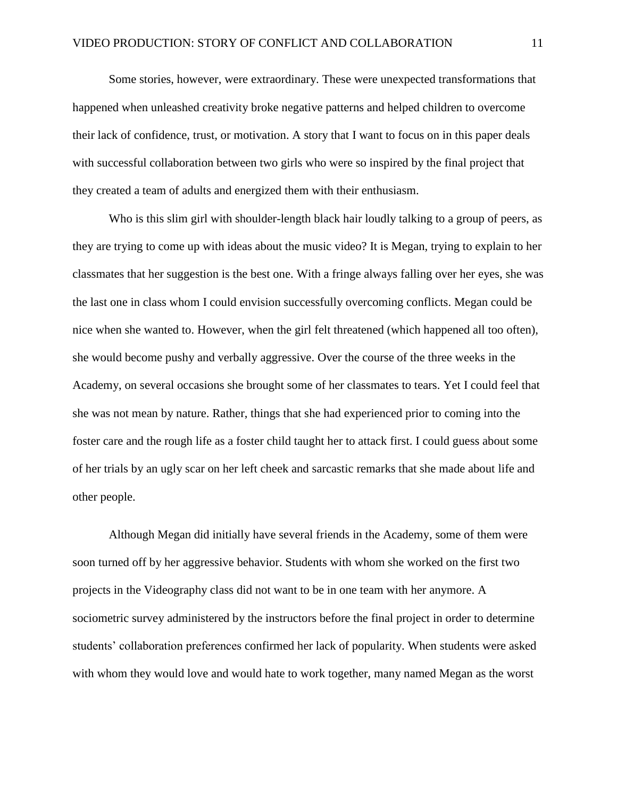Some stories, however, were extraordinary. These were unexpected transformations that happened when unleashed creativity broke negative patterns and helped children to overcome their lack of confidence, trust, or motivation. A story that I want to focus on in this paper deals with successful collaboration between two girls who were so inspired by the final project that they created a team of adults and energized them with their enthusiasm.

Who is this slim girl with shoulder-length black hair loudly talking to a group of peers, as they are trying to come up with ideas about the music video? It is Megan, trying to explain to her classmates that her suggestion is the best one. With a fringe always falling over her eyes, she was the last one in class whom I could envision successfully overcoming conflicts. Megan could be nice when she wanted to. However, when the girl felt threatened (which happened all too often), she would become pushy and verbally aggressive. Over the course of the three weeks in the Academy, on several occasions she brought some of her classmates to tears. Yet I could feel that she was not mean by nature. Rather, things that she had experienced prior to coming into the foster care and the rough life as a foster child taught her to attack first. I could guess about some of her trials by an ugly scar on her left cheek and sarcastic remarks that she made about life and other people.

Although Megan did initially have several friends in the Academy, some of them were soon turned off by her aggressive behavior. Students with whom she worked on the first two projects in the Videography class did not want to be in one team with her anymore. A sociometric survey administered by the instructors before the final project in order to determine students' collaboration preferences confirmed her lack of popularity. When students were asked with whom they would love and would hate to work together, many named Megan as the worst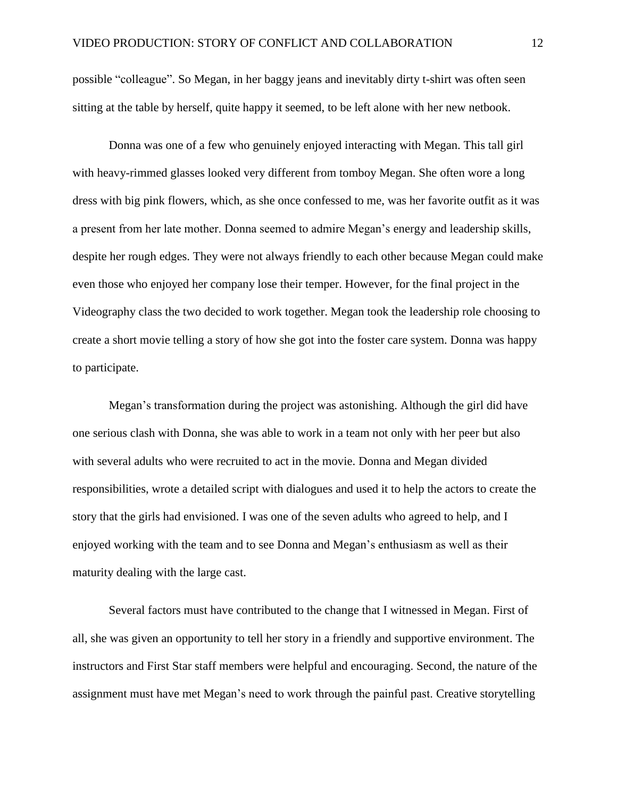possible "colleague". So Megan, in her baggy jeans and inevitably dirty t-shirt was often seen sitting at the table by herself, quite happy it seemed, to be left alone with her new netbook.

Donna was one of a few who genuinely enjoyed interacting with Megan. This tall girl with heavy-rimmed glasses looked very different from tomboy Megan. She often wore a long dress with big pink flowers, which, as she once confessed to me, was her favorite outfit as it was a present from her late mother. Donna seemed to admire Megan's energy and leadership skills, despite her rough edges. They were not always friendly to each other because Megan could make even those who enjoyed her company lose their temper. However, for the final project in the Videography class the two decided to work together. Megan took the leadership role choosing to create a short movie telling a story of how she got into the foster care system. Donna was happy to participate.

Megan's transformation during the project was astonishing. Although the girl did have one serious clash with Donna, she was able to work in a team not only with her peer but also with several adults who were recruited to act in the movie. Donna and Megan divided responsibilities, wrote a detailed script with dialogues and used it to help the actors to create the story that the girls had envisioned. I was one of the seven adults who agreed to help, and I enjoyed working with the team and to see Donna and Megan's enthusiasm as well as their maturity dealing with the large cast.

Several factors must have contributed to the change that I witnessed in Megan. First of all, she was given an opportunity to tell her story in a friendly and supportive environment. The instructors and First Star staff members were helpful and encouraging. Second, the nature of the assignment must have met Megan's need to work through the painful past. Creative storytelling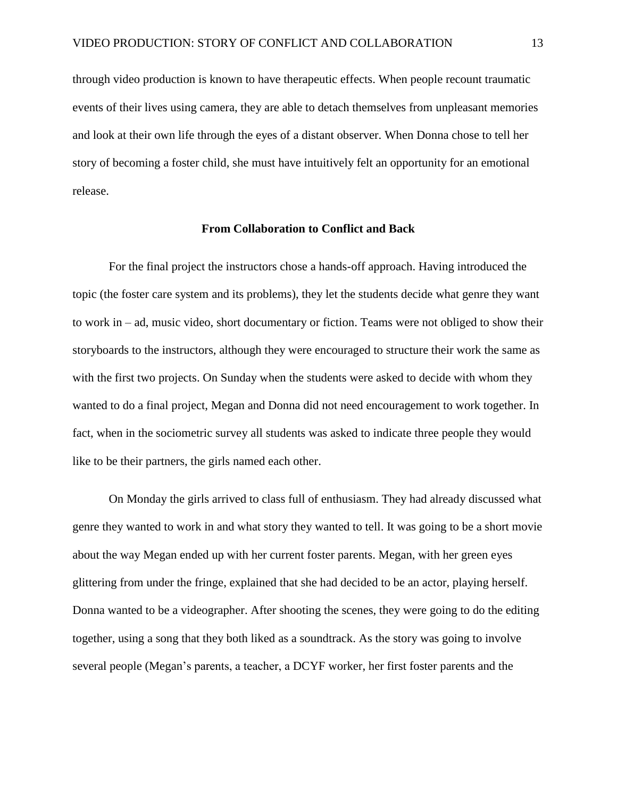through video production is known to have therapeutic effects. When people recount traumatic events of their lives using camera, they are able to detach themselves from unpleasant memories and look at their own life through the eyes of a distant observer. When Donna chose to tell her story of becoming a foster child, she must have intuitively felt an opportunity for an emotional release.

#### **From Collaboration to Conflict and Back**

For the final project the instructors chose a hands-off approach. Having introduced the topic (the foster care system and its problems), they let the students decide what genre they want to work in – ad, music video, short documentary or fiction. Teams were not obliged to show their storyboards to the instructors, although they were encouraged to structure their work the same as with the first two projects. On Sunday when the students were asked to decide with whom they wanted to do a final project, Megan and Donna did not need encouragement to work together. In fact, when in the sociometric survey all students was asked to indicate three people they would like to be their partners, the girls named each other.

On Monday the girls arrived to class full of enthusiasm. They had already discussed what genre they wanted to work in and what story they wanted to tell. It was going to be a short movie about the way Megan ended up with her current foster parents. Megan, with her green eyes glittering from under the fringe, explained that she had decided to be an actor, playing herself. Donna wanted to be a videographer. After shooting the scenes, they were going to do the editing together, using a song that they both liked as a soundtrack. As the story was going to involve several people (Megan's parents, a teacher, a DCYF worker, her first foster parents and the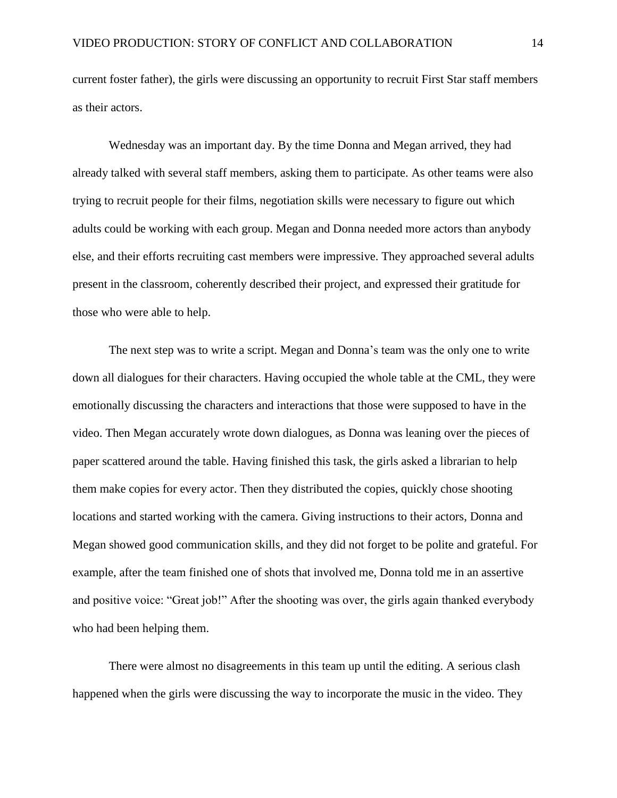current foster father), the girls were discussing an opportunity to recruit First Star staff members as their actors.

Wednesday was an important day. By the time Donna and Megan arrived, they had already talked with several staff members, asking them to participate. As other teams were also trying to recruit people for their films, negotiation skills were necessary to figure out which adults could be working with each group. Megan and Donna needed more actors than anybody else, and their efforts recruiting cast members were impressive. They approached several adults present in the classroom, coherently described their project, and expressed their gratitude for those who were able to help.

The next step was to write a script. Megan and Donna's team was the only one to write down all dialogues for their characters. Having occupied the whole table at the CML, they were emotionally discussing the characters and interactions that those were supposed to have in the video. Then Megan accurately wrote down dialogues, as Donna was leaning over the pieces of paper scattered around the table. Having finished this task, the girls asked a librarian to help them make copies for every actor. Then they distributed the copies, quickly chose shooting locations and started working with the camera. Giving instructions to their actors, Donna and Megan showed good communication skills, and they did not forget to be polite and grateful. For example, after the team finished one of shots that involved me, Donna told me in an assertive and positive voice: "Great job!" After the shooting was over, the girls again thanked everybody who had been helping them.

There were almost no disagreements in this team up until the editing. A serious clash happened when the girls were discussing the way to incorporate the music in the video. They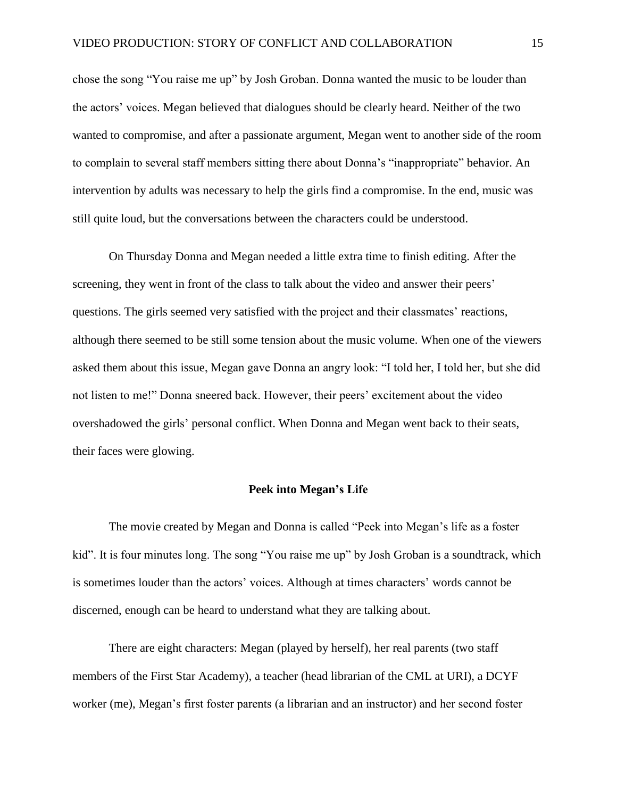chose the song "You raise me up" by Josh Groban. Donna wanted the music to be louder than the actors' voices. Megan believed that dialogues should be clearly heard. Neither of the two wanted to compromise, and after a passionate argument, Megan went to another side of the room to complain to several staff members sitting there about Donna's "inappropriate" behavior. An intervention by adults was necessary to help the girls find a compromise. In the end, music was still quite loud, but the conversations between the characters could be understood.

On Thursday Donna and Megan needed a little extra time to finish editing. After the screening, they went in front of the class to talk about the video and answer their peers' questions. The girls seemed very satisfied with the project and their classmates' reactions, although there seemed to be still some tension about the music volume. When one of the viewers asked them about this issue, Megan gave Donna an angry look: "I told her, I told her, but she did not listen to me!" Donna sneered back. However, their peers' excitement about the video overshadowed the girls' personal conflict. When Donna and Megan went back to their seats, their faces were glowing.

## **Peek into Megan's Life**

The movie created by Megan and Donna is called "Peek into Megan's life as a foster kid". It is four minutes long. The song "You raise me up" by Josh Groban is a soundtrack, which is sometimes louder than the actors' voices. Although at times characters' words cannot be discerned, enough can be heard to understand what they are talking about.

There are eight characters: Megan (played by herself), her real parents (two staff members of the First Star Academy), a teacher (head librarian of the CML at URI), a DCYF worker (me), Megan's first foster parents (a librarian and an instructor) and her second foster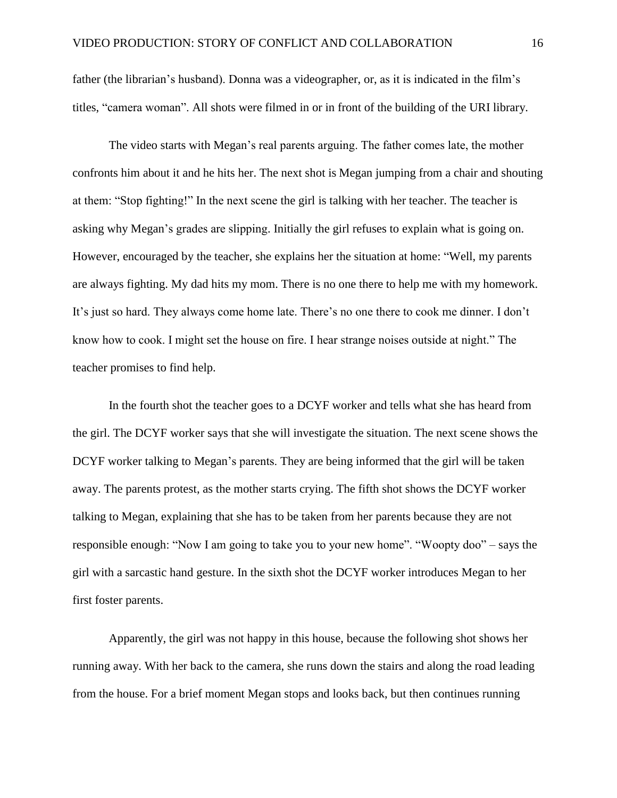father (the librarian's husband). Donna was a videographer, or, as it is indicated in the film's titles, "camera woman". All shots were filmed in or in front of the building of the URI library.

The video starts with Megan's real parents arguing. The father comes late, the mother confronts him about it and he hits her. The next shot is Megan jumping from a chair and shouting at them: "Stop fighting!" In the next scene the girl is talking with her teacher. The teacher is asking why Megan's grades are slipping. Initially the girl refuses to explain what is going on. However, encouraged by the teacher, she explains her the situation at home: "Well, my parents are always fighting. My dad hits my mom. There is no one there to help me with my homework. It's just so hard. They always come home late. There's no one there to cook me dinner. I don't know how to cook. I might set the house on fire. I hear strange noises outside at night." The teacher promises to find help.

In the fourth shot the teacher goes to a DCYF worker and tells what she has heard from the girl. The DCYF worker says that she will investigate the situation. The next scene shows the DCYF worker talking to Megan's parents. They are being informed that the girl will be taken away. The parents protest, as the mother starts crying. The fifth shot shows the DCYF worker talking to Megan, explaining that she has to be taken from her parents because they are not responsible enough: "Now I am going to take you to your new home". "Woopty doo" – says the girl with a sarcastic hand gesture. In the sixth shot the DCYF worker introduces Megan to her first foster parents.

Apparently, the girl was not happy in this house, because the following shot shows her running away. With her back to the camera, she runs down the stairs and along the road leading from the house. For a brief moment Megan stops and looks back, but then continues running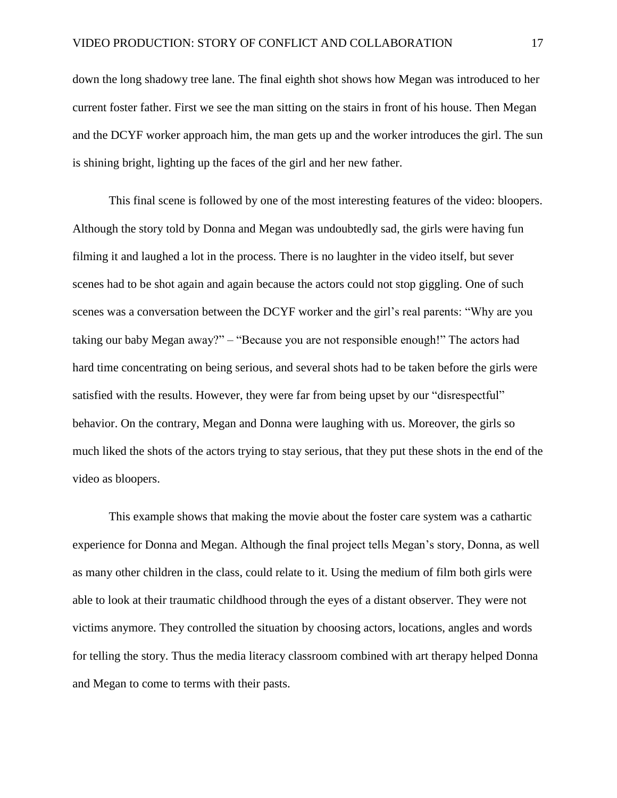down the long shadowy tree lane. The final eighth shot shows how Megan was introduced to her current foster father. First we see the man sitting on the stairs in front of his house. Then Megan and the DCYF worker approach him, the man gets up and the worker introduces the girl. The sun is shining bright, lighting up the faces of the girl and her new father.

This final scene is followed by one of the most interesting features of the video: bloopers. Although the story told by Donna and Megan was undoubtedly sad, the girls were having fun filming it and laughed a lot in the process. There is no laughter in the video itself, but sever scenes had to be shot again and again because the actors could not stop giggling. One of such scenes was a conversation between the DCYF worker and the girl's real parents: "Why are you taking our baby Megan away?" – "Because you are not responsible enough!" The actors had hard time concentrating on being serious, and several shots had to be taken before the girls were satisfied with the results. However, they were far from being upset by our "disrespectful" behavior. On the contrary, Megan and Donna were laughing with us. Moreover, the girls so much liked the shots of the actors trying to stay serious, that they put these shots in the end of the video as bloopers.

This example shows that making the movie about the foster care system was a cathartic experience for Donna and Megan. Although the final project tells Megan's story, Donna, as well as many other children in the class, could relate to it. Using the medium of film both girls were able to look at their traumatic childhood through the eyes of a distant observer. They were not victims anymore. They controlled the situation by choosing actors, locations, angles and words for telling the story. Thus the media literacy classroom combined with art therapy helped Donna and Megan to come to terms with their pasts.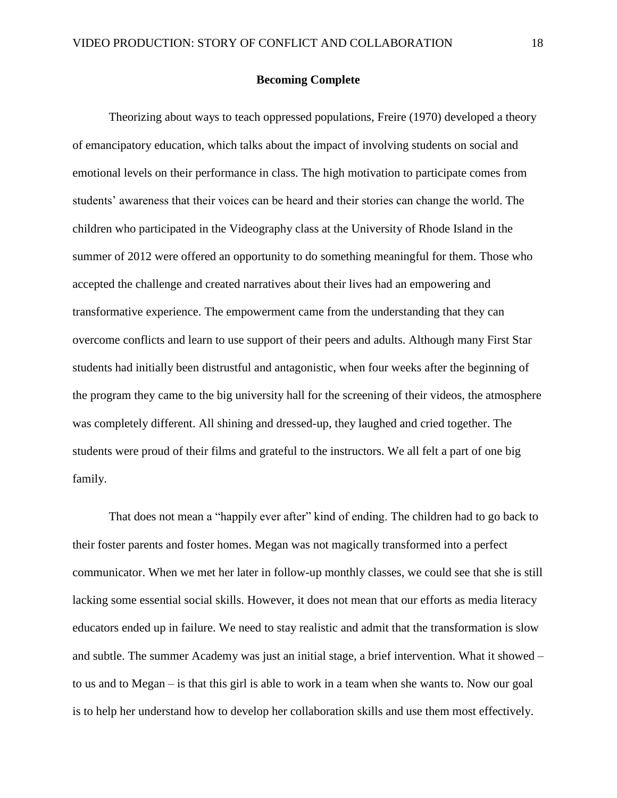## **Becoming Complete**

Theorizing about ways to teach oppressed populations, Freire (1970) developed a theory of emancipatory education, which talks about the impact of involving students on social and emotional levels on their performance in class. The high motivation to participate comes from students' awareness that their voices can be heard and their stories can change the world. The children who participated in the Videography class at the University of Rhode Island in the summer of 2012 were offered an opportunity to do something meaningful for them. Those who accepted the challenge and created narratives about their lives had an empowering and transformative experience. The empowerment came from the understanding that they can overcome conflicts and learn to use support of their peers and adults. Although many First Star students had initially been distrustful and antagonistic, when four weeks after the beginning of the program they came to the big university hall for the screening of their videos, the atmosphere was completely different. All shining and dressed-up, they laughed and cried together. The students were proud of their films and grateful to the instructors. We all felt a part of one big family.

That does not mean a "happily ever after" kind of ending. The children had to go back to their foster parents and foster homes. Megan was not magically transformed into a perfect communicator. When we met her later in follow-up monthly classes, we could see that she is still lacking some essential social skills. However, it does not mean that our efforts as media literacy educators ended up in failure. We need to stay realistic and admit that the transformation is slow and subtle. The summer Academy was just an initial stage, a brief intervention. What it showed – to us and to Megan – is that this girl is able to work in a team when she wants to. Now our goal is to help her understand how to develop her collaboration skills and use them most effectively.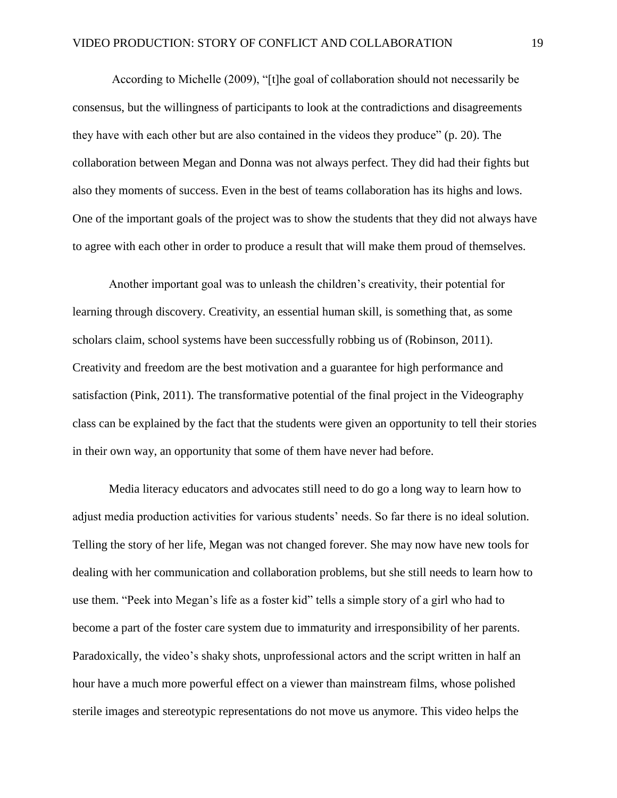According to Michelle (2009), "[t]he goal of collaboration should not necessarily be consensus, but the willingness of participants to look at the contradictions and disagreements they have with each other but are also contained in the videos they produce" (p. 20). The collaboration between Megan and Donna was not always perfect. They did had their fights but also they moments of success. Even in the best of teams collaboration has its highs and lows. One of the important goals of the project was to show the students that they did not always have to agree with each other in order to produce a result that will make them proud of themselves.

Another important goal was to unleash the children's creativity, their potential for learning through discovery. Creativity, an essential human skill, is something that, as some scholars claim, school systems have been successfully robbing us of (Robinson, 2011). Creativity and freedom are the best motivation and a guarantee for high performance and satisfaction (Pink, 2011). The transformative potential of the final project in the Videography class can be explained by the fact that the students were given an opportunity to tell their stories in their own way, an opportunity that some of them have never had before.

Media literacy educators and advocates still need to do go a long way to learn how to adjust media production activities for various students' needs. So far there is no ideal solution. Telling the story of her life, Megan was not changed forever. She may now have new tools for dealing with her communication and collaboration problems, but she still needs to learn how to use them. "Peek into Megan's life as a foster kid" tells a simple story of a girl who had to become a part of the foster care system due to immaturity and irresponsibility of her parents. Paradoxically, the video's shaky shots, unprofessional actors and the script written in half an hour have a much more powerful effect on a viewer than mainstream films, whose polished sterile images and stereotypic representations do not move us anymore. This video helps the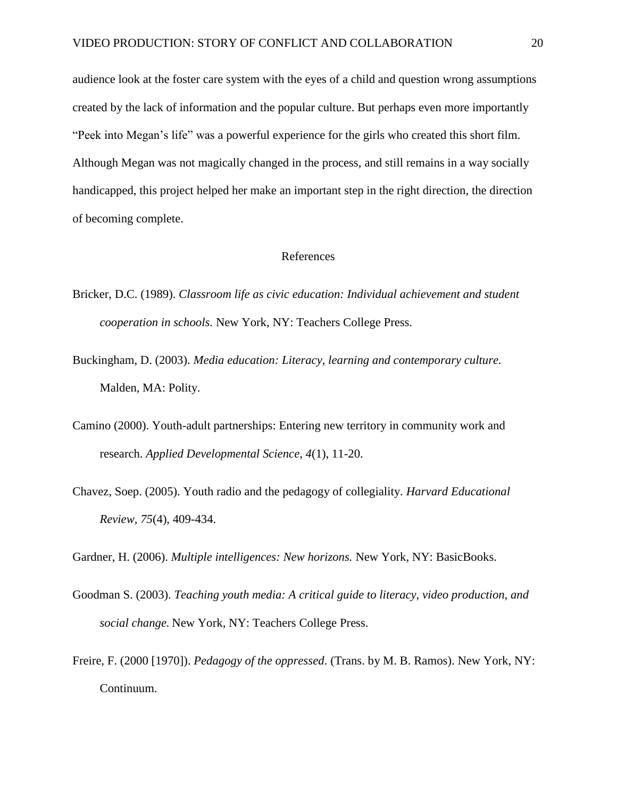audience look at the foster care system with the eyes of a child and question wrong assumptions created by the lack of information and the popular culture. But perhaps even more importantly "Peek into Megan's life" was a powerful experience for the girls who created this short film. Although Megan was not magically changed in the process, and still remains in a way socially handicapped, this project helped her make an important step in the right direction, the direction of becoming complete.

# References

- Bricker, D.C. (1989). *Classroom life as civic education: Individual achievement and student cooperation in schools.* New York, NY: Teachers College Press.
- Buckingham, D. (2003). *Media education: Literacy, learning and contemporary culture.* Malden, MA: Polity.
- Camino (2000). Youth-adult partnerships: Entering new territory in community work and research. *Applied Developmental Science, 4*(1), 11-20.
- Chavez, Soep. (2005). Youth radio and the pedagogy of collegiality. *Harvard Educational Review, 75*(4), 409-434.

Gardner, H. (2006). *Multiple intelligences: New horizons.* New York, NY: BasicBooks.

- Goodman S. (2003). *Teaching youth media: A critical guide to literacy, video production, and social change.* New York, NY: Teachers College Press.
- Freire, F. (2000 [1970]). *Pedagogy of the oppressed*. (Trans. by M. B. Ramos). New York, NY: Continuum.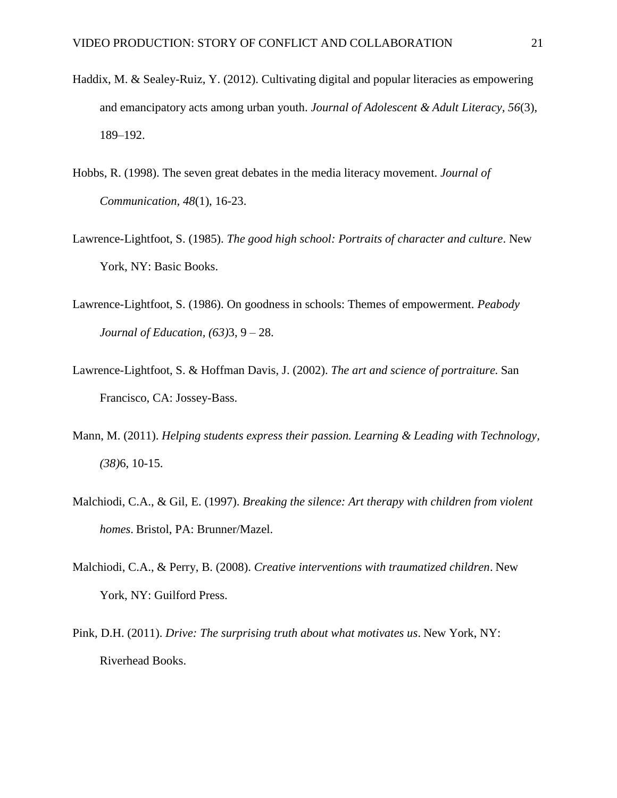- Haddix, M. & Sealey-Ruiz, Y. (2012). Cultivating digital and popular literacies as empowering and emancipatory acts among urban youth. *Journal of Adolescent & Adult Literacy, 56*(3), 189–192.
- Hobbs, R. (1998). The seven great debates in the media literacy movement. *Journal of Communication, 48*(1), 16-23.
- Lawrence-Lightfoot, S. (1985). *The good high school: Portraits of character and culture*. New York, NY: Basic Books.
- Lawrence-Lightfoot, S. (1986). On goodness in schools: Themes of empowerment. *Peabody Journal of Education, (63)*3, 9 – 28.
- Lawrence-Lightfoot, S. & Hoffman Davis, J. (2002). *The art and science of portraiture.* San Francisco, CA: Jossey-Bass.
- Mann, M. (2011). *Helping students express their passion. Learning & Leading with Technology, (38)*6, 10-15.
- Malchiodi, C.A., & Gil, E. (1997). *Breaking the silence: Art therapy with children from violent homes*. Bristol, PA: Brunner/Mazel.
- Malchiodi, C.A., & Perry, B. (2008). *Creative interventions with traumatized children*. New York, NY: Guilford Press.
- Pink, D.H. (2011). *Drive: The surprising truth about what motivates us*. New York, NY: Riverhead Books.